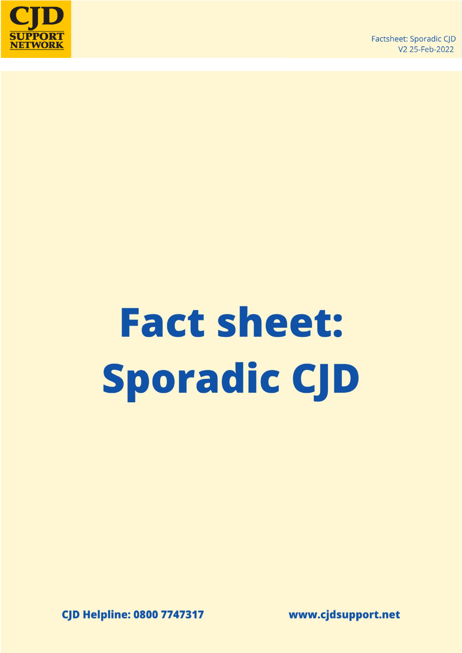

# **Fact sheet: Sporadic CJD**

**CJD Helpline: 0800 7747317** 

www.cjdsupport.net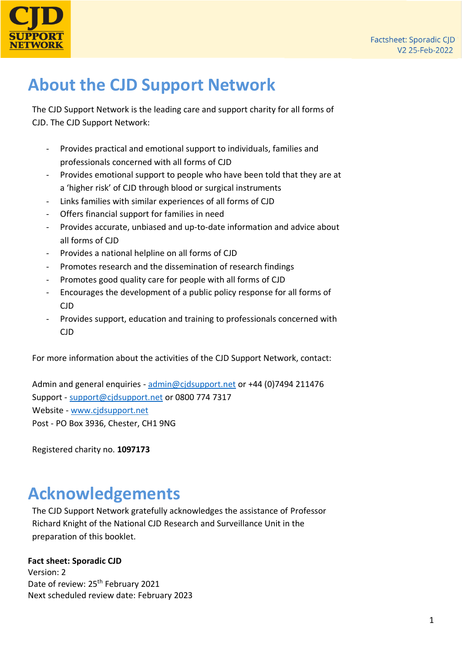

# **About the CJD Support Network**

The CJD Support Network is the leading care and support charity for all forms of CJD. The CJD Support Network:

- Provides practical and emotional support to individuals, families and professionals concerned with all forms of CJD
- Provides emotional support to people who have been told that they are at a 'higher risk' of CJD through blood or surgical instruments
- Links families with similar experiences of all forms of CJD
- Offers financial support for families in need
- Provides accurate, unbiased and up-to-date information and advice about all forms of CJD
- Provides a national helpline on all forms of CJD
- Promotes research and the dissemination of research findings
- Promotes good quality care for people with all forms of CJD
- Encourages the development of a public policy response for all forms of CJD
- Provides support, education and training to professionals concerned with CJD

For more information about the activities of the CJD Support Network, contact:

Admin and general enquiries - [admin@cjdsupport.net](mailto:admin@cjdsupport.net) or +44 (0)7494 211476 Support - [support@cjdsupport.net](mailto:support@cjdsupport.net) or 0800 774 7317 Website - [www.cjdsupport.net](http://www.cjdsupport.net/) Post - PO Box 3936, Chester, CH1 9NG

Registered charity no. **1097173**

## **Acknowledgements**

The CJD Support Network gratefully acknowledges the assistance of Professor Richard Knight of the National CJD Research and Surveillance Unit in the preparation of this booklet.

#### **Fact sheet: Sporadic CJD**

Version: 2 Date of review: 25<sup>th</sup> February 2021 Next scheduled review date: February 2023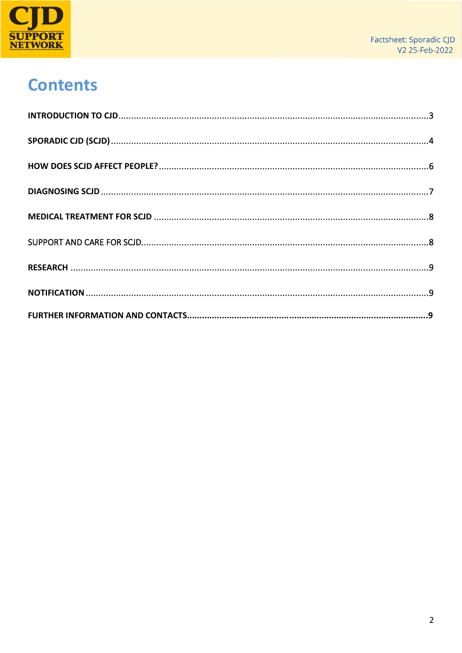

# **Contents**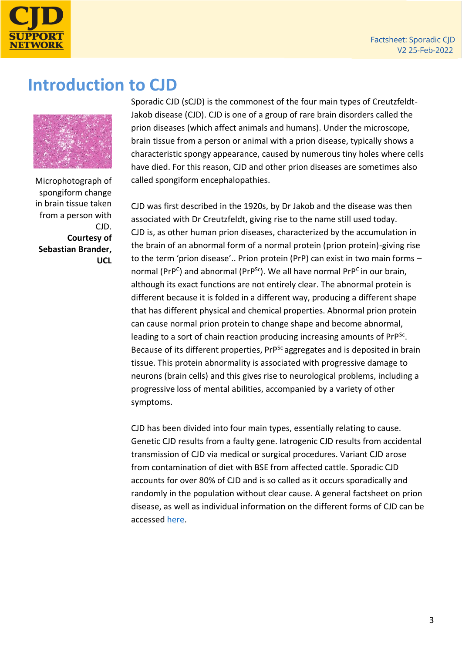

#### <span id="page-3-0"></span>**Introduction to CJD**



Microphotograph of spongiform change in brain tissue taken from a person with CJD. **Courtesy of Sebastian Brander, UCL**

Sporadic CJD (sCJD) is the commonest of the four main types of Creutzfeldt-Jakob disease (CJD). CJD is one of a group of rare brain disorders called the prion diseases (which affect animals and humans). Under the microscope, brain tissue from a person or animal with a prion disease, typically shows a characteristic spongy appearance, caused by numerous tiny holes where cells have died. For this reason, CJD and other prion diseases are sometimes also called spongiform encephalopathies.

CJD was first described in the 1920s, by Dr Jakob and the disease was then associated with Dr Creutzfeldt, giving rise to the name still used today. CJD is, as other human prion diseases, characterized by the accumulation in the brain of an abnormal form of a normal protein (prion protein)-giving rise to the term 'prion disease'.. Prion protein (PrP) can exist in two main forms – normal (PrP<sup>C</sup>) and abnormal (PrP<sup>Sc</sup>). We all have normal PrP<sup>C</sup> in our brain, although its exact functions are not entirely clear. The abnormal protein is different because it is folded in a different way, producing a different shape that has different physical and chemical properties. Abnormal prion protein can cause normal prion protein to change shape and become abnormal, leading to a sort of chain reaction producing increasing amounts of PrP<sup>Sc</sup>. Because of its different properties, PrP<sup>Sc</sup> aggregates and is deposited in brain tissue. This protein abnormality is associated with progressive damage to neurons (brain cells) and this gives rise to neurological problems, including a progressive loss of mental abilities, accompanied by a variety of other symptoms.

CJD has been divided into four main types, essentially relating to cause. Genetic CJD results from a faulty gene. Iatrogenic CJD results from accidental transmission of CJD via medical or surgical procedures. Variant CJD arose from contamination of diet with BSE from affected cattle. Sporadic CJD accounts for over 80% of CJD and is so called as it occurs sporadically and randomly in the population without clear cause. A general factsheet on prion disease, as well as individual information on the different forms of CJD can be accessed [here.](https://www.cjdsupport.net/what-is-cjd/fact-sheets)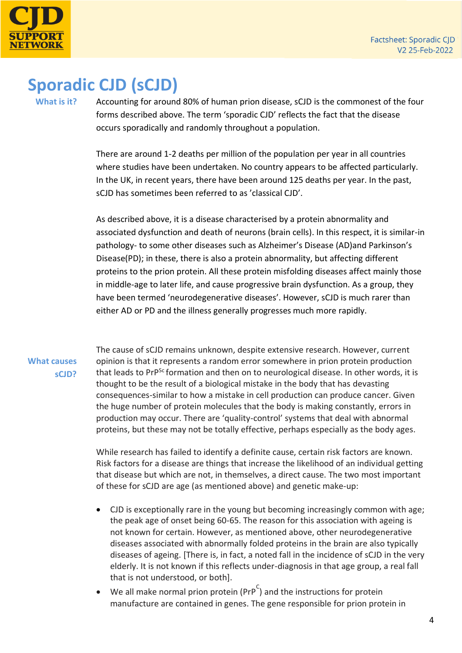

# <span id="page-4-0"></span>**Sporadic CJD (sCJD)**

**What is it?**

Accounting for around 80% of human prion disease, sCJD is the commonest of the four forms described above. The term 'sporadic CJD' reflects the fact that the disease occurs sporadically and randomly throughout a population.

There are around 1-2 deaths per million of the population per year in all countries where studies have been undertaken. No country appears to be affected particularly. In the UK, in recent years, there have been around 125 deaths per year. In the past, sCJD has sometimes been referred to as 'classical CJD'.

As described above, it is a disease characterised by a protein abnormality and associated dysfunction and death of neurons (brain cells). In this respect, it is similar-in pathology- to some other diseases such as Alzheimer's Disease (AD)and Parkinson's Disease(PD); in these, there is also a protein abnormality, but affecting different proteins to the prion protein. All these protein misfolding diseases affect mainly those in middle-age to later life, and cause progressive brain dysfunction. As a group, they have been termed 'neurodegenerative diseases'. However, sCJD is much rarer than either AD or PD and the illness generally progresses much more rapidly.

#### **What causes sCJD?**

The cause of sCJD remains unknown, despite extensive research. However, current opinion is that it represents a random error somewhere in prion protein production that leads to PrP<sup>Sc</sup> formation and then on to neurological disease. In other words, it is thought to be the result of a biological mistake in the body that has devasting consequences-similar to how a mistake in cell production can produce cancer. Given the huge number of protein molecules that the body is making constantly, errors in production may occur. There are 'quality-control' systems that deal with abnormal proteins, but these may not be totally effective, perhaps especially as the body ages.

While research has failed to identify a definite cause, certain risk factors are known. Risk factors for a disease are things that increase the likelihood of an individual getting that disease but which are not, in themselves, a direct cause. The two most important of these for sCJD are age (as mentioned above) and genetic make-up:

- CJD is exceptionally rare in the young but becoming increasingly common with age; the peak age of onset being 60-65. The reason for this association with ageing is not known for certain. However, as mentioned above, other neurodegenerative diseases associated with abnormally folded proteins in the brain are also typically diseases of ageing. [There is, in fact, a noted fall in the incidence of sCJD in the very elderly. It is not known if this reflects under-diagnosis in that age group, a real fall that is not understood, or both].
- We all make normal prion protein (PrP<sup>C</sup>) and the instructions for protein manufacture are contained in genes. The gene responsible for prion protein in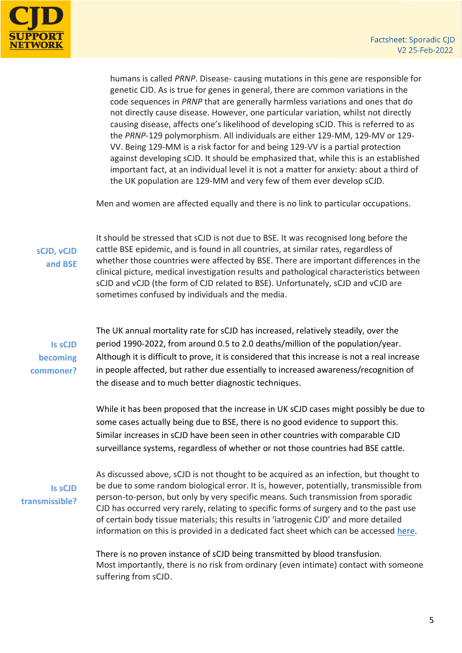

humans is called *PRNP*. Disease- causing mutations in this gene are responsible for genetic CJD. As is true for genes in general, there are common variations in the code sequences in *PRNP* that are generally harmless variations and ones that do not directly cause disease. However, one particular variation, whilst not directly causing disease, affects one's likelihood of developing sCJD. This is referred to as the *PRNP*-129 polymorphism. All individuals are either 129-MM, 129-MV or 129- VV. Being 129-MM is a risk factor for and being 129-VV is a partial protection against developing sCJD. It should be emphasized that, while this is an established important fact, at an individual level it is not a matter for anxiety: about a third of the UK population are 129-MM and very few of them ever develop sCJD.

Men and women are affected equally and there is no link to particular occupations.

**sCJD, vCJD and BSE** It should be stressed that sCJD is not due to BSE. It was recognised long before the cattle BSE epidemic, and is found in all countries, at similar rates, regardless of whether those countries were affected by BSE. There are important differences in the clinical picture, medical investigation results and pathological characteristics between sCJD and vCJD (the form of CJD related to BSE). Unfortunately, sCJD and vCJD are sometimes confused by individuals and the media.

**Is sCJD becoming commoner?**

The UK annual mortality rate for sCJD has increased, relatively steadily, over the period 1990-2022, from around 0.5 to 2.0 deaths/million of the population/year. Although it is difficult to prove, it is considered that this increase is not a real increase in people affected, but rather due essentially to increased awareness/recognition of the disease and to much better diagnostic techniques.

While it has been proposed that the increase in UK sCJD cases might possibly be due to some cases actually being due to BSE, there is no good evidence to support this. Similar increases in sCJD have been seen in other countries with comparable CJD surveillance systems, regardless of whether or not those countries had BSE cattle.

**Is sCJD transmissible?** As discussed above, sCJD is not thought to be acquired as an infection, but thought to be due to some random biological error. It is, however, potentially, transmissible from person-to-person, but only by very specific means. Such transmission from sporadic CJD has occurred very rarely, relating to specific forms of surgery and to the past use of certain body tissue materials; this results in 'iatrogenic CJD' and more detailed information on this is provided in a dedicated fact sheet which can be accessed [here.](https://www.cjdsupport.net/what-is-cjd/fact-sheets)

There is no proven instance of sCJD being transmitted by blood transfusion. Most importantly, there is no risk from ordinary (even intimate) contact with someone suffering from sCJD.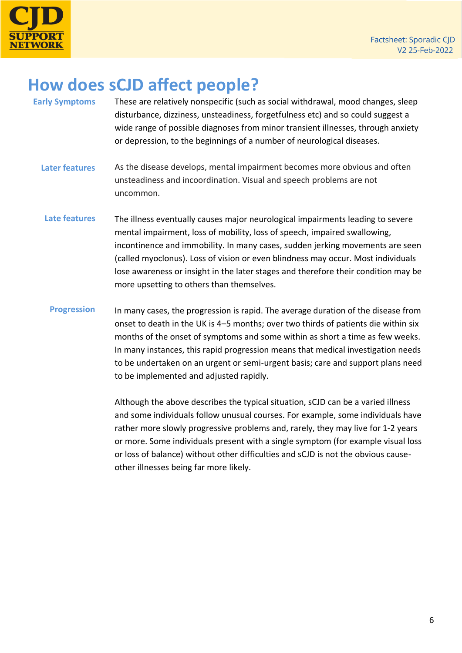

### <span id="page-6-0"></span>**How does sCJD affect people?**

- **Early Symptoms Later features Late features** These are relatively nonspecific (such as social withdrawal, mood changes, sleep disturbance, dizziness, unsteadiness, forgetfulness etc) and so could suggest a wide range of possible diagnoses from minor transient illnesses, through anxiety or depression, to the beginnings of a number of neurological diseases. As the disease develops, mental impairment becomes more obvious and often unsteadiness and incoordination. Visual and speech problems are not uncommon. The illness eventually causes major neurological impairments leading to severe mental impairment, loss of mobility, loss of speech, impaired swallowing, incontinence and immobility. In many cases, sudden jerking movements are seen (called myoclonus). Loss of vision or even blindness may occur. Most individuals lose awareness or insight in the later stages and therefore their condition may be more upsetting to others than themselves.
	- **Progression** In many cases, the progression is rapid. The average duration of the disease from onset to death in the UK is 4–5 months; over two thirds of patients die within six months of the onset of symptoms and some within as short a time as few weeks. In many instances, this rapid progression means that medical investigation needs to be undertaken on an urgent or semi-urgent basis; care and support plans need to be implemented and adjusted rapidly.

Although the above describes the typical situation, sCJD can be a varied illness and some individuals follow unusual courses. For example, some individuals have rather more slowly progressive problems and, rarely, they may live for 1-2 years or more. Some individuals present with a single symptom (for example visual loss or loss of balance) without other difficulties and sCJD is not the obvious causeother illnesses being far more likely.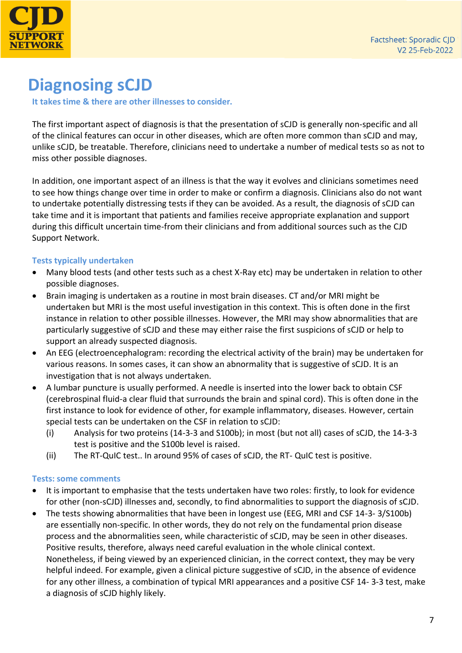

# <span id="page-7-0"></span>**Diagnosing sCJD**

**It takes time & there are other illnesses to consider.** 

The first important aspect of diagnosis is that the presentation of sCJD is generally non-specific and all of the clinical features can occur in other diseases, which are often more common than sCJD and may, unlike sCJD, be treatable. Therefore, clinicians need to undertake a number of medical tests so as not to miss other possible diagnoses.

In addition, one important aspect of an illness is that the way it evolves and clinicians sometimes need to see how things change over time in order to make or confirm a diagnosis. Clinicians also do not want to undertake potentially distressing tests if they can be avoided. As a result, the diagnosis of sCJD can take time and it is important that patients and families receive appropriate explanation and support during this difficult uncertain time-from their clinicians and from additional sources such as the CJD Support Network.

#### **Tests typically undertaken**

- Many blood tests (and other tests such as a chest X-Ray etc) may be undertaken in relation to other possible diagnoses.
- Brain imaging is undertaken as a routine in most brain diseases. CT and/or MRI might be undertaken but MRI is the most useful investigation in this context. This is often done in the first instance in relation to other possible illnesses. However, the MRI may show abnormalities that are particularly suggestive of sCJD and these may either raise the first suspicions of sCJD or help to support an already suspected diagnosis.
- An EEG (electroencephalogram: recording the electrical activity of the brain) may be undertaken for various reasons. In somes cases, it can show an abnormality that is suggestive of sCJD. It is an investigation that is not always undertaken.
- A lumbar puncture is usually performed. A needle is inserted into the lower back to obtain CSF (cerebrospinal fluid-a clear fluid that surrounds the brain and spinal cord). This is often done in the first instance to look for evidence of other, for example inflammatory, diseases. However, certain special tests can be undertaken on the CSF in relation to sCJD:
	- (i) Analysis for two proteins (14-3-3 and S100b); in most (but not all) cases of sCJD, the 14-3-3 test is positive and the S100b level is raised.
	- (ii) The RT-QuIC test.. In around 95% of cases of sCJD, the RT- QuIC test is positive.

#### **Tests: some comments**

- It is important to emphasise that the tests undertaken have two roles: firstly, to look for evidence for other (non-sCJD) illnesses and, secondly, to find abnormalities to support the diagnosis of sCJD.
- The tests showing abnormalities that have been in longest use (EEG, MRI and CSF 14-3- 3/S100b) are essentially non-specific. In other words, they do not rely on the fundamental prion disease process and the abnormalities seen, while characteristic of sCJD, may be seen in other diseases. Positive results, therefore, always need careful evaluation in the whole clinical context. Nonetheless, if being viewed by an experienced clinician, in the correct context, they may be very helpful indeed. For example, given a clinical picture suggestive of sCJD, in the absence of evidence for any other illness, a combination of typical MRI appearances and a positive CSF 14- 3-3 test, make a diagnosis of sCJD highly likely.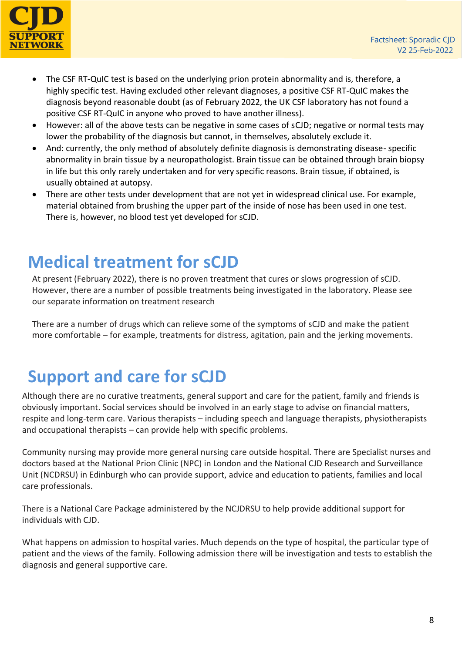

- The CSF RT-QuIC test is based on the underlying prion protein abnormality and is, therefore, a highly specific test. Having excluded other relevant diagnoses, a positive CSF RT-QuIC makes the diagnosis beyond reasonable doubt (as of February 2022, the UK CSF laboratory has not found a positive CSF RT-QuIC in anyone who proved to have another illness).
- However: all of the above tests can be negative in some cases of sCJD; negative or normal tests may lower the probability of the diagnosis but cannot, in themselves, absolutely exclude it.
- And: currently, the only method of absolutely definite diagnosis is demonstrating disease- specific abnormality in brain tissue by a neuropathologist. Brain tissue can be obtained through brain biopsy in life but this only rarely undertaken and for very specific reasons. Brain tissue, if obtained, is usually obtained at autopsy.
- There are other tests under development that are not yet in widespread clinical use. For example, material obtained from brushing the upper part of the inside of nose has been used in one test. There is, however, no blood test yet developed for sCJD.

#### <span id="page-8-0"></span>**Medical treatment for sCJD**

At present (February 2022), there is no proven treatment that cures or slows progression of sCJD. However, there are a number of possible treatments being investigated in the laboratory. Please see our separate information on treatment research

There are a number of drugs which can relieve some of the symptoms of sCJD and make the patient more comfortable – for example, treatments for distress, agitation, pain and the jerking movements.

## <span id="page-8-1"></span>**Support and care for sCJD**

Although there are no curative treatments, general support and care for the patient, family and friends is obviously important. Social services should be involved in an early stage to advise on financial matters, respite and long-term care. Various therapists – including speech and language therapists, physiotherapists and occupational therapists – can provide help with specific problems.

Community nursing may provide more general nursing care outside hospital. There are Specialist nurses and doctors based at the National Prion Clinic (NPC) in London and the National CJD Research and Surveillance Unit (NCDRSU) in Edinburgh who can provide support, advice and education to patients, families and local care professionals.

There is a National Care Package administered by the NCJDRSU to help provide additional support for individuals with CJD.

What happens on admission to hospital varies. Much depends on the type of hospital, the particular type of patient and the views of the family. Following admission there will be investigation and tests to establish the diagnosis and general supportive care.